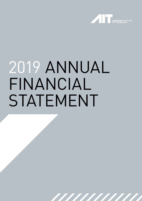

# 2019 ANNUAL FINANCIAL STATEMENT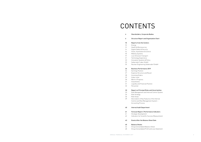| 4               | <b>Shareholders, Corporate Bodies</b>           |
|-----------------|-------------------------------------------------|
| 6               | <b>Structure Report and Organization Chart</b>  |
| 10              | <b>Reports from the Centers</b>                 |
| 10 <sup>1</sup> | Energy                                          |
| 12              | <b>Health &amp; Bioresources</b>                |
| $14^{1}$        | Digital Safety & Security                       |
| 16              | Vision, Automation & Control                    |
| 18              | <b>Mobility Systems</b>                         |
| 19              | Low-Emission Transport                          |
| 21              | Technology Experience                           |
| 23              | Innovation Systems & Policy                     |
| 25              | Seibersdorf Labor GmbH                          |
| 25              | Nuclear Engineering Seibersdorf GmbH            |
| 26              | <b>Business Performance 2019</b>                |
| 26              | Earnings Position                               |
| 27              | <b>Expense Structure and Result</b>             |
| 28              | Incoming Orders                                 |
| 29              | Order Level                                     |
| 30              | Work in Progress                                |
| 31              | Investments                                     |
| 31              | Liquidity and Financial Position                |
| 32              | Personnel                                       |
| 33              | Report on Principal Risks and Uncertainties     |
| 33              | Risk Management and Internal Control System     |
| 34              | Risk Strategy                                   |
| 36              | Risk Areas                                      |
| 39              | Description of Key Features of the Internal     |
|                 | Control and Risk Management System -            |
|                 | <b>Accounting Process</b>                       |
| 40              | <b>Internal Audit Department</b>                |
| 41              | <b>Forecast Report / Performance Indicators</b> |
| 41              | Strategic Development                           |
| 42              | Indicators for Scientific Success Measurement   |
| 43              | <b>Events After the Balance Sheet Date</b>      |
| 45              | <b>Balance Sheets</b>                           |
| 46              | Group Consolidated Balance Sheet                |
| 48              | Group Consolidated Profit and Loss Statement    |



### nd Uncertainties

### nce Indicators

### eet Date

# CONTENTS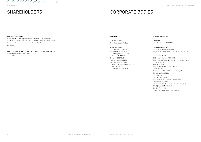### MANAGEMENT

DI Anton PLIMON Prof. Dr. Wolfgang KNOLL

#### Authorized Officers

DI Dr. Christian CHIMANI Prof.in Dr.in Elke GUENTHER DI Dr. Wolfgang HRIBERNIK DI Arno KLAMMINGER DI Helmut LEOPOLD Mag. Christian MEIXNER Mag. Alexander SVEJKOVSKY Univ.-Prof. Dr. Manfred TSCHELIGI DI Andreas VRABL DI Dr. Matthias WEBER, MA

### 

### REPUBLIC OF AUSTRIA

Austrian Federal Ministry of Transport, Innovation and Technology (as of 29 January 2020 renamed into Federal Ministry for Climate Action, Environment, Energy, Mobility, Innovation and Technology) with 50.46%

### ASSOCIATION FOR THE PROMOTION OF RESEARCH AND INNOVATION

(Federation of Austrian Industries) with 49.54%

### SHAREHOLDERS CORPORATE BODIES

### SUPERVISORY BOARD

Chairman Dkfm.Dr. Hannes ANDROSCH

### Deputy Chairpersons

Dr.in Edeltraud FICHTENBAUER Mag.<sup>®</sup> Isabella MERAN-WALDSTEIN since 19 March 2019

### Supervisory Board

DI Dr. Franz Michael ANDROSCH DI Dr. Gustavo Fernandez DOMINGUEZ until 20 May 2019 Christian GÄRTNER Thomas HUGER Mag. Andrew LINDLEY since 21 May 2019 DI Harald LOOS Mag.<sup>a</sup> Dr.in Birgit LUGHOFER-LEIBNITZ, MBA DI Mag. Wolfgang PELL Dr. Klaus PSEINER Mag. Anton SCHANTL Mag. Ingolf SCHÄDLER until 31 December 2019 Dr.in Barbara STEINER DIin Christina TAMAS until 20 May 2019 / from 8 July 2019 DI (FH) Hubert UMSCHADEN Dr.in Eva WILHELM Stefan WYHLIDAL from 21 May 2019 to 7 July 2019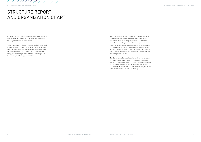Although the organizational structure of the AIT is – essentially unchanged – divided into eight Centers, there have been adjustments within the Centers.

At the Center Energy, the new Competence Unit, Integrated Energy Systems, focuses on questions regarding the flexibility of prosumers in short-term electricity markets, taking distribution networks into account. Parts of the Electric Energy Systems Competence Unit have been assigned to the new Integrated Energy Systems Unit.

The Technology Experience Center will, in its Competence Unit Experience Business Transformation, in the future focus even more on advising organizations on the implementation of specific projects in the user experience context. Innovation and implementation experience of the employees of the Experience Business Transformation Unit combined with the scientific expertise of the Competence Unit Experience Context and Tools should contribute to better a market anchoring for the Center.

The Business and Start-up Coaching position was refocused in the year under review to set up a regulated process to support AIT start-up initiatives, to integrate network partners in a structured manner, and to offer appropriate support to AIT start-up entrepreneurs. The position was assigned to the Administrative Area Finance & Controlling.

////////////// ////////

### STRUCTURE REPORT AND ORGANIZATION CHART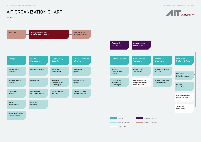Legal Entity



### **Technology Experience**

Experience Business **Transformations** 

STRUCTURE REPORT AND ORGANIZATION CHART STRUCTURE REPORT AND ORGANIZATION CHART

# AIT ORGANIZATION CHART

January 2020

Experience Contexts and Tools

Preclinical Molecular Imaging

Biosensor Technologies

Nuclear Engineering Seibersdorf GmbH

**Innovation** Systems & Policy

Seibersdorf Labor GmbH

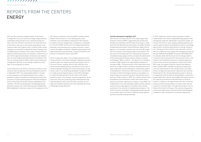REPORTS FROM THE CENTERS REPORTS FROM THE CENTERS REPORTS FROM THE CENTERS REPORTS FROM THE CENTERS REPORTS FROM THE CENTERS

2019 saw the continuous implementation of the Center strategy with a focus on the three strategic target domains: sustainable energy infrastructure, industrial energy systems, and cities and built environment. An important focus of the Center chair was on the further development of the research teams with regard to their scientific profile. Seven employees successfully completed the Senior Hearing, thus strengthening the activities of the research fields with their specific professional profiles and networks. Furthermore, as part of the organizational design, the decision was made to spin off a new Integrated Energy Systems Competence Unit from an existing research field in order to give visibility and management attention to the strategic importance of the topic in the energy policy context.

A key milestone for the Center in the area of research infrastructure was the opening of the City Intelligence Lab (CIL) in September 2019. This unique digital platform, located in the Competence Unit Digital Resilient Cities, makes it possible to explore innovative and radically new forms and processes of urban planning based on Artificial Intelligence and to interactively involve the relevant stakeholders and residents. The CIL has already been methodologically applied and utilized in two international projects (Uzbekistan, IBA Heidelberg). Furthermore, plans for the expansion of the DC-Lab as an extension of the SmartEST could be pushed ahead. The focus here is on the development of new methods to test and validate components of DC networks at medium and low voltage levels. Completion is scheduled for the end of 2020, with the aim of strengthening domestic developers and manufacturers of power electronic components in the global competition. Detailed engineering for the high-temperature heat pump lab is nearing completion and the lab is scheduled to open in early 2021.

The first steps were taken in the strategic expansion of the Center portfolio in the field of hydrogen. Hydrogen and other synthetic gases are viewed as promising energy carriers in the area of sector coupling, which is also reflected in the national and European political commitment to this topic. A national hydrogen strategy with content participation on the Center's part is currently being developed. The goal for 2020 is to take up technological options in the field of hydrogen in a well-founded way and to anchor them in the Center portfolio as part of the strategic research programme. At the same time, there are promising project developments with industrial players which must be further pursued. Accordingly, the European networks were also expanded by joining of Hydrogen Europe Research.

#### Portfolio development highlights 2019

2019 saw the successful launch of the model region New Energy for Industry (NEFI), supported by the Climate and Energy Fund chaired by the AIT Center for Energy in cooperation with the Montanuniversität Leoben, the Upper Austrian Energy Saving Association and the Business Upper Austria Agency. In an innovation network with more than 80 companies from industry, technology providers and research, the aim over the next eight years is to demonstrate the path to renewable energy supply and thus complete decarbonisation of the producing and energy-intensive industry using key technologies "Made in Austria". The spectrum of companies involved in NEFI ranges from large leading companies to innovative SMEs. The governments of the industrially strong provinces of Upper Austria and Styria stand behind the strategic programme and are prepared to substantially support its development. Furthermore, NEFI focuses on six fields of innovation at both technological level (e.g. renewables, energy storage, processes) and systemic level (infrastructure, business models, policy). In 2019, ten scientific projects have already been launched (seven of them with Center participation), with further submissions to follow in early 2020. The establishment of an internationally staffed scientific advisory board ensures a high degree of innovation and scientific excellence in the selection of implementation projects. The Center has thus succeeded in strategically positioning itself as a scientific lead in the field of industrial energy systems and the associated funding landscape.

In 2019, significant contract research projects could be implemented in the field of Integrated Energy Systems with strategically important stakeholders. During the studies carried out, the Center's wide-ranging modeling expertise was used to examine specific development scenarios, technology paths and the resulting requirements for energy infrastructure. The basis for this scientific work is Austria's commitment to a 100% electricity supply with renewable energies by the year 2030 (#mission2030). The project RES100Speicher, for example, dealt with the future role of storage systems in Austria's electricity system for the provision of short- and medium-term flexibility as well as for seasonal balancing from a techno-economic perspective. As part of the Indus-RiES study, the supply of Austrian industry with (balance sheet-related) 100% renewable energy was analysed and concrete requirements for the energy infrastructure (generation, storage and transmission capacities) were derived. Following from this, the decarbonisation project in Austria, in cooperation with the Austrian Energy Agency, examined in greater detail which specific technologies and energy sources are required to promote the decarbonisation of Austrian industry. In doing so, the opportunities and risks in Austrian industry and the resulting effects for Austria were also discussed on a scientific basis. Through these projects, the visibility of the Center for Energy in the national energy policy context was significantly increased and the methodological competence was translated into successful exploitation.

### REPORTS FROM THE CENTERS ENERGY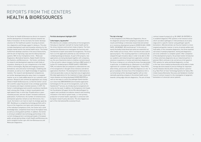The Center for Health & Bioresources directs its research and the development of innovative solutions towards two fields of innovation. On the one hand, the Center develops solutions for the healthcare system, focusing on prevention, diagnostics and therapy support in doing so. This also includes development work and innovative solutions for the lifestyle market and for the animal health sector. The Center furthermore develops solutions in the area of bioeconomy with the aim of improving crops and microbial production systems. With its four Competence Units – Molecular Diagnostics, Biomedical Systems, Digital Health Information Systems, and Bioresources – the Center contributes its research and development expertise to both fields of innovation, drawing on its core competencies in the fields of Omics technologies, Big Data and imaging processes, biomaterial, nano and sensor technologies, modelling and simulation, as well as its in-depth knowledge of regulatory markets. The research and development competencies are further developed along the value chain in a targeted manner so as to create added value for our customers and partners. Research and commercial exploitation are closely linked in Health & Bioresources, so that the Center's excellent scientific output has proven to be a strategic guarantee for innovative and impact-oriented solutions. In 2019, the Center's methodological and scientific excellence manifests itself, among other things, in eleven issued patents and eight patents filed, in more than 70 publications in peerreviewed journals, and over 43 peer-reviewed conference publications. Furthermore, the number of invited lectures and keynote speeches remains at over 84 lectures. As a result, the Center is on track to reach its strategic goals by 2021. Building on a competitive technology portfolio with a focus on the respective core topics and customer groups of the individual Competence Units, the Center has a solid knowledge base, competitive know-how at the highest level, as well as a strong patent portfolio. In addition, the Center is striving to establish new technology partnerships in the current strategy period, to actively participate in European public-private partnerships in both Health and Bioresources, and to establish further spin-offs from Bioresources and Molecular Diagnostics.

#### Portfolio development highlights 2019

### "Little helpers, big benefits"

Microbiomes are complex communities of microorganisms that play an important role both for human health and for the stress tolerance and nutrient intake of plants. The Competence Unit Bioresources investigates the functions and mechanisms of plant-associated microorganisms. The focus here is on the application potential as a bio-fertiliser or for combating biological diseases. As part of EU projects, new applications are being developed together with companies, e.g. the use of bacterial strains to mobilise nutrients bound in the soil and to reduce inorganic fertilisers (BBI Susfert). In further EU-funded projects (H2020 SolACE, H2020 MAS-TER), microbiome data are analysed to understand the role of microorganisms in drought stress tolerance and derive applications therefrom. The development of alternatives to chemical pesticides is also an important area of application. Microbial applications for the treatment of major wheat and maize diseases are being developed (H2020 MASTER) as well as new ways to control the pathogen Xylella fastidiosa in olive trees (BBI BIOVEXO) and innovative application technologies for the use of microorganisms, such as the SeedJection™ process, by introducing microorganisms directly into the seed. In addition, the Competence Unit heads the Coordination & Support Action MicrobiomeSupport to support and coordinate microbiome research and resulting innovation in the field of system foods, i.e. from primary production to human health, especially in connection with European research policy decisions. This also happens as part of the international Bio-economy Forum.

### "The lab in the bag"

In the Competence Unit Molecular Diagnostics, the entire diagnostic process from sampling to evaluation of the results and findings is intensively researched and worked on in numerous development projects (H2020 ELSAH, H2020 FAPIC, IMI BIOMAP, IMI ImmUniverse). To this end, primarily the bodily fluids blood and saliva are examined, but other media such as tissue, milk or excreta are also used in special projects. This resulting expertise is continuously developed through innovative ideas in order to be able to offer our academic and industrial partners application-oriented solutions to questions in human and veterinary diagnostics. The focus in doing so is on utilizing the know-how generated, in particular, on establishing so-called point-of-care (POC) rapid tests for customer-specific diagnostics. These POCs allow timely, precise and cost-effective diagnosis on-site. To give an example, the know-how of the Competence Unit is currently being further developed together with an internationally operating company in the animal health sector towards cutting edge infection diagnostics. The aim of these

contract research projects (e.g. BI-UMAP, BI-ENTERIC) is to establish diagnostic POC systems in the livestock sector which can detect pathogens in milk and faeces at an early stage and in a specific manner using pathogen-specific biomarkers. Affected animals can thus be treated in a more targeted and gentler manner in terms of animal welfare and food safety. In this innovative diagnostics, the three essential sub-areas of sample preparation, testing and diagnostics are to be combined in a complete system. After completion of the development projects, the prompt market introduction of these veterinary diagnostics by our industrial partner is planned. Work continues to be carried out at full speed on POC systems for saliva and blood diagnostics, so that in the near future medical professionals will be able to make therapy decisions based on precise findings for important human diseases directly when visiting a doctor's practice (e.g. New Point-of-Care Technology Systems for Saliva, Minimally Invasive Biomarker Discovery and Validation). Another focus of contract research is the investigation of epigenetic biomarkers of colorectal cancer patients.

### REPORTS FROM THE CENTERS HEALTH & BIORESOURCES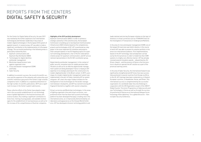For the Center for Digital Safety & Security, the year 2019 was marked by the further expansion of an international technological and thematic leadership in key areas of modern digital technologies in the European ECO system of applied research. In several areas, AIT was able to make a significant contribution to the implementation of a European strategy. The successful positioning in the following areas is particularly noteworthy here:

- 1. Quantum communication and Quantum Key Distribution (QKD)
- 2. Technologies for digital identities and border management
- 3. Blockchain-based forensic tools against organized crime
- 4. Crisis and disaster management (CDM) and finally
- 5. Cyber Security

In addition to economic success, the record of scientific success and the expansion of the networks with universities and scientific institutions give proof of the Center's high scientific competence level. In addition to a repeated achievement of the high number of scientific publications, 2019 saw a significant increase in the Center's patent submissions.

These collective efforts of the Center have played a major role in the successful establishment of core technology areas of global digitisation in the Austrian business and science location, thus making a significant contribution to know-how, training of young people, and available technologies for the establishment of new businesses as well as for the increase of the competitiveness of Austrian companies.

### Highlights of the 2019 portfolio development

Quantum Communication (QKD): In order to achieve a strategic autonomy in this sensitive area, the European Commission is building up its new Quantum Communication Infrastructure (QCI) initiative based on the competencies, projects and technologies of AIT. AIT is positioned as a key player in the most important EU initiatives and projects: Chair and participation in two EU flagship projects for quantum technology development, chair of the EU-wide demonstration project for quantum communication, and AIT acts as national representative in the EU QCI coordination group.

Digital identity and border management: In the context of public security, innovative tools for mobile personal identification as well as for an effective digital border management system are being developed. France is relying on AIT expertise in its strategic planning for the construction of a modern digitised border in the Brexit context. In 2019, a prototype of a modern digital border management system was implemented in the port of Calais chaired by AIT as system integrator. AIT chairs the major Foldout initiative for the development of new technologies for the border management between checkpoints, and AIT has started licensing AIT fingerprint biometrics together with several companies.

Virtual currencies and Blockchain technologies: In the areas of fighting organized crime and virtual currencies, comprehensive know-how has been built up and a technology platform has been developed that plays a leading role in the international arena, as is impressively demonstrated by collaborations and appearances at the Interpol World Conference. AIT has developed a forensic technology platform and

leads national and one key European initiative on the topic of forensics in virtual currencies such as TITANIUM (Tools for the Investigation of Transactions in Underground Markets).

In the area of crisis and disaster management (CDM), one of the largest EU exercises was held in Austria, in the course of which AIT was able to present its solution portfolio in this area to an international audience. First implementations, based on the AIT technology, have already been carried out by the first provinces in order to modernise their CDM systems in a highly cost-effective manner. AIT has already received several innovation awards – eAward Austria, EU Driver+ Award – and the province of Styria is the first province in Austria to operate the AIT solution as a part of the provincial warning centre.

In the area of Cyber Security, the international footprint was significantly strengthened and AIT know-how was successfully positioned in several countries from Europe via Africa to the US. AIT trainings have been conducted e.g. in Eastern European countries, in Kazakhstan, Korea, and Oman. This international success is complemented by the successful organization of a worldwide Cyber Security Challenge in cooperation with the UN Organization as part of the UNCCT Global Counter-Terrorism Programme on Cybersecurity and new Technologies in Vienna as well as through the successful positioning of Vienna as an international dialogue forum "technology meets diplomacy" for a global discourse – Vienna Cyber Security Conference.

### REPORTS FROM THE CENTERS DIGITAL SAFETY & SECURITY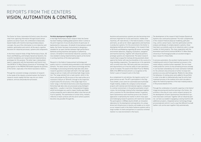The Center for Vision, Automation & Control covers the entire chain from capturing information through (vision) sensor systems via sensor fusion, the combination of physically based models with machine learning and data analysis concepts, the use of this information in error detection and isolation, optimization and control, all the way to cognitive decisions for industrial processes, systems and components.

In the three research fields of High-Performance Vision, 3D Vision and Modeling, and Complex Dynamical Systems, the scientific foundations are researched and implemented as prototypes for this purpose. The latter topic is being developed in cooperation with the Automation and Control Institute (ACIN) of TU Wien [Vienna University of Technology]. The participation in the PROFACTOR GmbH expands the portfolio of the Center, especially in the field of assistance robotics.

Through the consistent strategic orientation of research to the needs of the industry-oriented market, the Center's research results rapidly find their way into our clients' products, services and production processes.

#### Portfolio development highlights 2019

In the High Performance Vision research field, the Center has been holding a leading global position when it comes to the print inspection of security documents (in particular of banknotes) for many years. On behalf of international central banks, the Center has been instrumental in designing a standard for an open interface between high-performance banknote sorting machines and quality or authenticity sensors. On behalf of international industrial customers, this new standard is being implemented by experts at the Center in sorting machines of the latest generation.

Research in the fields of measurement technology and quality control is constantly being extended to new industrial domains. The latest sensor and camera technology and the knowledge in processing extremely high data rates allow research questions to be dealt with both in the high-speed range as well as in tasks with extremely high image resolution. The range extends from a road scanner, which in the future will provide the 3D structure of the road surface at a resolution of 60 µm at 130 km/h, through to the inspection of particularly fine structures, in the single-digit micrometer range, in the field of electronics and chip production. Extremely high data rates are processed using intelligent algorithms – usually in real time. Computational Imaging and AI technologies are used to inspect hardly specifiable surface properties and to determine defect sizes that are difficult to quantify. The examination of certain shiny, metallic, reflective or black surfaces with the aid of camera systems becomes only possible through this.

great interest as well. The AIT's participation in the Digi-Trans GmbH, a test centre for automated and multimodal freight mobility, enables the company to drive forward projects with national and international logistics companies. In a similar environment, in the partial automation of port cranes, the technology is being further developed together with a customer for the international market. In general, (semi-)autonomous work machines prove to be a field of application in demand by the market in which many open and challenging research questions still need to be resolved. The participation in AIRlabs Austria GmbH, an innovation laboratory for the development and operation of a unique drone test infrastructure in Austria, will enable us to continue our research work in the field of airborne systems with a large number of clients and partners in a practice-oriented manner in a real environment in the future.

Assistive and autonomous systems are also becoming more and more important for trucks and tractors, mobile work machines, off-road vehicles, in the field of aviation, in trains and trams, as well as for robotic applications and machines in production systems. For this environment, the Center is developing methods and technologies in the research field of 3D Vision and Modeling regarding 3D sensor technology, environment detection, mapping, localization, navigation and machine learning. Together with industrial partners, prototype systems are implemented. The latest research results help to equip the tramway driving assistants developed at the Center with new functionalities in the course of a long-standing cooperation. The experiences in the operation with currently more than 100 trams yield new conclusions and requirements as to how the safety of tram operations can be increased. The award of the State Prize for Mobility 2020 of the BMK (formerly bmvit) is a recognition of the Center's years of research work in this field. As a complement to rail vehicles, the logistics sector is of The development of the research field Complex Dynamical Systems was continued as planned. The main competencies of this research field are physical modelling, path planning, control, sensor fusion, real time optimization and the analysis and design of complex dynamic systems; these have been successfully used on an industrial scale in a large number of client projects. The close cooperation with the Automation and Control Institute (ACIN) of TU Wien [Vienna University of Technology] provides an excellent bridge to basic research in these fields. In process automation, the excellent market position in the modelling and control of heat treatment processes in the metal industry could be further expanded. The non-linear model predictive control of strip annealing furnaces already in use has been extended by non-linear estimation methods for the unknown strip emissivity to further increase temperature accuracy and homogeneity. Models for describing the behaviour of cooling zones were added to the portfolio in order to be able to mathematically map the entire heat treatment process in the medium term and to be able to adjust the material properties of the heat-treated products in the process based on this.

> Through the combination of scientific expertise in the field of image processing and machine learning in the Center, the activities in the area of cross-centre research projects for the development of (semi-)autonomous (mechatronic) systems have been continued. Together with an industrial partner, we have succeeded in equipping a sewing machine with additional actuators, integrated sensor technology (image processing) and control in such a way that different (curved) leather cuts can be sewn together fully automatically.

### REPORTS FROM THE CENTERS VISION, AUTOMATION & CONTROL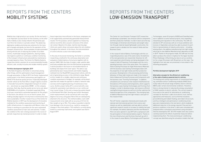### Mobility has a high priority in our society. On the one hand, it is an important success factor for the economy; on the other hand, mobility is also closely linked to the personal quality of life of all citizens in a private context. The advancing digitisation enables promising new solutions for the transport of people and goods, but also for the operators of the transport infrastructure. Some examples include automated driving with the aim of reducing the number of accident victims, multimodal transport platforms, sharing models, new logistics systems or continuous condition monitoring of the transport infrastructure and predictive maintenance concepts based on these. The Center for Mobility Systems researches holistic solutions for an environmentally friendly, efficient, safe, socially inclusive and reliable mobility system.

#### Portfolio development highlights 2019

In the field of logistics, the Center is concerned, among other things, with the optimisation of yard management through automation. In March 2019, the Center implemented a pilot project in the field of autonomous yard logistics on behalf of the Austrian postal services. A specially developed transfer vehicle at the Post Office's largest logistics location in Inzersdorf ensured the independent transport of containers – also known as swap bodies (WAB) – on the company premises. Each day, Austrian postal service turns over about 3,300 WABs at its locations. A standard swap body lifting truck was converted for automated operation for this project. In the future, the vehicle is to run on electric power, thus making everyday logistics not only more economical but also more sustainable. A further research focus of the Center for Mobility Systems in 2019 was the development of innovative methods for the condition assessment and monitoring of traffic infrastructures. In cooperation with Wiener Linien, the Center is working on a procedure for the semi-automated condition assessment of tram rails and switches. To date, the condition of the rails is being assessed in the course of periodic inspections by trained personnel. In order to make

The Center for Low-Emission Transport (LET) researches and develops sustainable, low-emission vehicle components and their production methods. In order to best serve the key technologies of drivetrain electrification and weight reduction through material-based lightweight construction, the research work is divided into five research fields and four Business Cases.

In the research field of Battery Technologies with the corresponding business case of the same name, the batteries of the next generation are researched. Solutions for efficient powertrain electrification are being developed in the research field of Propulsion Technologies with the corresponding business case of the same name. The research field of Casting Processes for High Performance Materials with the business case Casting Technologies deals with the properties of new light metals and their production processes. Developments in the processing and forming behaviour of these light metals are made in the research field of Advanced Forming Processes and Components with the business case "Forming Technologies". In addition, simulations are carried out in the research field Numerical Simulations of Processes and Components, which supports the business cases Casting Technologies and Forming Technologies, in order to develop energy- and resource-efficient casting/forming processes as well as to further optimize the material properties of the components. The emerging topic of Additive Manufacturing from light metals is also part of this research field.

The LET Center cooperates intensively and closely with national and international partners from science and industry as well as stakeholders and was able to achieve significant research results to increase its visibility last year. For example, the battery laboratory and the new Research Pilot Line were opened in July 2019 with a symposium with the participation of international battery experts. Thanks to this new infrastructure and the know-how built up with it in the research areas Battery Technologies and Propulsion

these inspections more efficient in the future, employees are to be supported by automatically generated measurement results. For this purpose, sensors applied to a measuring vehicle record the vibro-acoustic emissions of the wheelrail contact. Based on this data, machine learning algorithms are used to draw conclusions about the rail condition throughout the network. In the future, the instrumentation of control vehicles is also to be made possible.

In the area of structural monitoring, the Center is currently researching a method for the continuous observation and evaluation of deformations of structures together with its partner ZAMG. With the help of modern radar satellite data and freely available data from the ESA Sentinel programme, it will be possible in the future to record deformations of buildings and slopes from outer space. This data is supplemented by laser measurements and mobile mapping methods from the RoadSTAR measurement vehicle, with the aim of generating accuracy in the millimetre range. Based on this, models for a reliable, objective and continuous condition assessment of bridges, for example, will be developed that will enable the operator to obtain a network-wide overview and foresighted planning of maintenance measures. Another project led by AIT is concerned with a new method for automated crack detection on non-reinforced inner tunnel linings. To this end, a measuring system based on Distributed Fibre Optic Sensing was further developed: strain measurements can be carried out with a very high degree of accuracy using glass fibres that are subsequently attached to the structure. The method enables crack width measurements to be made with an accuracy of 0.1mm for fibre lengths of up to 70m. This makes it possible to identify local damage in the structure (e.g. cracks) or unexpected changes in the strain pattern. This method is currently being tested in a motorway road tunnel, and a patent was filed in August 2019.

Technologies, seven EU projects (H2020 and CleanSky) were won in addition to some national projects, thus expanding networking and reputation in the community. The LKR celebrated its 25<sup>th</sup> anniversary with an in-house exhibition and lectures in September and was thus able to present its portfolio to representatives of industry and science – including, among others, the additive manufacturing from light metals, which got its own Additive Manufacturing Laboratory at LKR in 2019. Thanks to the progress made, the LKR was not only able to produce the winner's trophies for the Upper Austrian Photo Challenge in 3D printing, but also to act as coordinator for a major EU project with 20 partners on this topic. Two highlights from last year are presented in more detail in the following paragraphs.

### Portfolio development highlights 2019

### Alternative concepts for the efficient air-conditioning of the cabin of battery-powered electric vehicles

The heating and cooling requirements of conventional heating, ventilation and air conditioning modules (HVAC) drastically reduce the actual range of battery-electric vehicles (BEV) under certain environmental conditions. Therefore, there is strong interest in reducing the energy consumption of HVAC systems in electric vehicles. The current research focus was on the search for alternative air conditioning concepts for the driver's cabin of an electric truck. Various approaches and measures, such as thermal insulation, preconditioning and radiant heating, were taken into account, and thus intelligent and optimized air conditioning strategies were implemented on the test bench, which enabled an additional reduction in the energy required. Flow and temperature conditions in the driver's cabin were simulated and analyzed within a simulation environment using simulation libraries developed at AIT. 3D-CFD models were also used to carefully examine the effects of potential measures before implementing them. The most promising air conditioning concept was identified using the simulation models that had

### REPORTS FROM THE CENTERS MOBILITY SYSTEMS

### REPORTS FROM THE CENTERS LOW-EMISSION TRANSPORT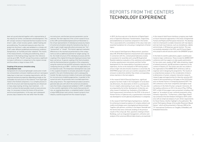been set up and selected together with a representative of the industry for further consideration and development. This AIT concept consists of improved thermal insulation for the driver's cabin, a heat recovery system, radiant heating and preconditioning. The selected measures were then integrated into the driver's cabin and validated in a climate cell at AIT under different predefined environmental conditions (temperature, air humidity and solar radiation). The results of the measurements, including preconditioning, show a reduction in the heating energy required in the reference cycle by up to 50%. The AIT concept thus proves a significant increase in efficiency in comparison to the original concept and thus allows a range increase of 6%.

#### Coupling of the process simulation along the production route

Components for structural lightweight construction in both low-emission/zero-emission mobility as well as in aerospace today have to meet ever increasing requirements, with the required mechanical properties depending strongly on the achievable microstructure of the material. From liquid light metal to the finished component, it is a complex process in which the structure and material properties are influenced in many steps (casting, forming, heat treatment, ...). In order to achieve the best possible results at every process step, it is necessary to know the history of the process and structural parameters. In this way, each subsequent process step is based on the real rather than the ideal

In 2019, the focus was set in the direction of Digital Experience or Experience Business Transformation, respectively, and established as an essential component in the Center. This is associated with a consolidation of the value chain and essential foundations for a focusing or realignment of Center topics.

In the research field Experience Measurement, questions about AR, VR & Work Experience Assessment were explored. In connection with this, contextualized laboratory studies on assistance for assembly work using AR (Augmented Reality) enabled an evaluation of the usefulness and usability of various questionnaire instruments and their further development for the measurability of assistance and work experience. As far as the evaluation of VR training experiences in high-risk and stressful situations is concerned, the SHOTPROS project will carry out scientific evaluations of VR stressors to determine whether they initiate corresponding stress reactions in the test subjects.

In the research field of Diversity Experience, significant progress has been made in the investigation of social diversity dimensions, the observation of which is a prerequisite for an in-depth understanding of user needs. This was also accompanied by the further development of diversity-sensitive research methods (e.g. finalisation of the EvAALuation2 measurement instruments for the FFG). In the area of Human Factors in Cybersecurity, a questionnaire instrument was developed to record cybersecurity behaviour in companies.

In the research field Field Capturing Experience, methods for achieving increased acceptance of complex ambient and mobile technologies were investigated and demonstrated. Together with partners, activities in the Aspern Seestadt and the Viertel Zwei were continued, building on the previous results of the Living Lab. Here, questions relating to Smart Buildings, such as integrated management, unification and analysis of the numerous different data streams, are examined.

microstructure, and the best process parameters can be selected. The main objective of the current research focus at the LKR Leichtmetallkompetenzzentrum Ranshofen is the virtual representation of individual processes by means of numerical simulation along the manufacturing chain, in order to gain insight especially where processes are "hot", "pressurized" or "closed". This holistic approach evaluates differences in the mechanical performance of the components as well as additional potential for weight savings. So far, the model structure of the individual processes and the coupling of the original forming and shaping processes have been carried out. A special coupling of the fluid simulation with the thermomechanical simulation of the components using the numerical tool preCICE achieved a reduction of the computing time by up to 80% – and thus the applicability on an industrial scale. The temperature development was used in this coupled simulation to simulate and predict the grain growth in the semi-finished product and to subsequently transfer the data to process models of extrusion and forging for microstructure modelling approaches. In parallel to the numerical work, the processes were recorded experimentally using sensors. This experimental procedure served to generate data sets with which the numerical simulations were then finally compared and validated. In 2019, in addition to the scientific exploitation of the results (two journal articles, an ongoing dissertation, a completed master's thesis), a large H2020 project and contract research projects from industry could be acquired from this research project.

In the research field Future Interfaces, progress was made on future interaction approaches in the areas of Augmented Human and Playful and Persuasive Interaction. The development of a framework to enable interaction with real objects and real multi-touch devices, such as smartphones, tablets and terminals, in VR deserves special mention. This was successfully evaluated in the PCCL and FX Future Experience projects and will also be used in the DIRIGENT project.

In the field of scientific publications, papers could be positioned at major conferences. These include the QOMEX 2019 conference with four papers on video quality optimization for low-vision users, quality of 360° video streaming, impact of network protocols, and AR assistance experience in the context of Industry 4.0. The Center was also very visible in the organization of the QOMEX 2019 conference, both as organiser and in designing the programme. The results of a comprehensive analysis on the consideration of diversity dimensions in human-computer interaction research, research gaps and opportunities for diversity-sensitive HCI research were presented as a full paper at the CHI (Conference on Human Factors in Computing Systems) 2019. The CHI conference is the most competitive and highest-level conference in the field of human-computer interaction. At the leading conference on HCI in the area of Play, CHIPlay 2019, a total of three papers were presented, including a full paper on "an analysis of user-centered movements using semantic trajectories." Furthermore, a Best Paper Award was achieved at the AmI Ambient Intelligence 2019 conference with an empirical analysis of user-driven requirements for Smart Homes. Another highlight is the publication "Be active! Participatory Design of Accessible Movement-Based Games", which will be presented in February 2020 at the 14<sup>th</sup> International Conference on Tangible, Embedded, and Embodied Interaction.

# REPORTS FROM THE CENTERS TECHNOLOGY EXPERIENCE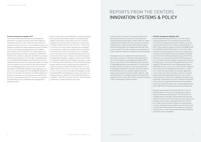#### Portfolio development highlights 2019

The research field Capturing Experience developed approaches for a simpler and more trustworthy handling of automated systems in order to take the human aspects in using them more into account. In the Sim4Blocks project, for example, prototypes for various automation levels of flexible thermal control were developed and examined together with residents of test households. The insights gained are being incorporated into further international collaborations. Furthermore, confidence calibration methods for automated systems were developed. In the auto.Bus – Seestadt project, a so-called Reliability Display for automated vehicles was installed and demonstrated, which gives passengers an insight into the recognition accuracy and the next actions planned. The knowledge gained here is also used in the systematic development of Reliability Displays in other application contexts. Thus, with the approval of the CALIBRaiTE IdeaLab 4.0 project, the systematic development of reliability displays for predictive maintenance is now being driven forward for the first time in automobile production. The topic of acceptance of automated processes of demand-side management is dealt with as well.

As part of the project series QoEStream, a high-performance data acquisition and analysis platform is being developed together with partners which allows real-time collection, evaluation and representation of experience-relevant data of media streaming services with more than 1 million users in real time. The system allows early detection and diagnosis of experience-related user problems (such as problems connecting to the server and resulting in no or a delayed start of the media stream, repeated and long pauses of the media stream due to poor network connection) and exploits the advantages (flexibility, scalability, robustness) of modern virtualization and Big Data technologies. The system is used for monitoring video streaming on the iOS, Android and web browser platforms and is maintained and hosted by AIT. It captures all Quality of Experience (QoE) relevant error and quality indicators (start times, interruptions, bit rate changes, etc.), from the provision through to the playback of a clip. Coordinated KPIs and dashboards visualise which parts contribute positively or negatively to the streaming experience. In addition, Smart Alerts provide round-the-clock notification of experience-relevant deviations and events.

In the year 2019, the Center for Innovation Systems and Policy has performed very well both economically and scientifically and has been able to make a name for itself on a national and European level. The successes in acquiring funded projects, contract projects and framework agreements are manifested in an exceptionally high order level at the end of 2019. This also resulted in a corresponding increase in external revenues in comparison to the previous year.

At European level, the visibility of the Centre has been increased, in particular in the areas of foresight and mission-oriented research, technology and innovation (RTI) policies, the provision of micro-data and robust indicators on knowledge production and exploitation in research and innovation systems, as well as new forms and practices of responsible innovation in the public and private sectors. At the national level, new customer segments were developed, particularly in the areas of public agencies, cities and associations. In a number of projects, the potential for cooperation with the other AIT Centers could also be utilized to offer comprehensive system solutions.

#### Portfolio development highlights 2019

Transformative RTI policy forms the core of the Center's research programme. This orientation has proven to be very seminal in supporting new policy initiatives, which are summarised under the term mission-oriented RTI policy. In 2019, it was possible to support the bmvit (now BMK) as well as the OECD and the EU Commission in the further establishment of this policy approach. Particularly noteworthy at this point is the framework contract Foresight on Demand, under which the five Mission Boards set up by the EU Commission are currently being monitored. The same goes for the continuation of work to support strategic partnerships at European level, in particular the European Institute of Technology (EIT) Climate and the Joint Programming Initiative (JPI) Urban Europe. In the course of this, demand-side policy instruments are increasingly becoming the focus of attention in order to bring innovations to a broader application. In this context, the Center was able to advance its work on experimental policy approaches last year, such as experimental spaces for new forms of regulation and public sector acquisition. Scientifically, this work is reflected in the award of the contract to organize the International Sustainability Transitions Conference 2020, which is being prepared jointly with the WU Vienna University of Economics and Business.

Research and innovation will only be effective in terms of decarbonisation if we succeed in scaling up and replicating pilot and demonstration projects. This transition from individual pilots to a broader implementation has been the subject of several of the Center's projects at the national and European levels, partly in cooperation with other AIT Centers. Cases in point comprise models for accelerating the transition of regional energy systems (e.g. smart grid, smart city) and national food systems from production through to utilisation (e.g. circular economy) that have been implemented towards more sustainability.

### REPORTS FROM THE CENTERS INNOVATION SYSTEMS & POLICY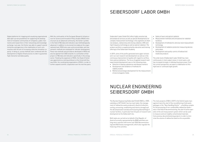Digital platforms for mapping and visualizing organizational data open up new possibilities for supporting the development of innovative communities of companies, public institutions and researchers in their networking and knowledge exchange. Last year, the Center was able to support several ministries and agencies in the mobilization of such communities with the aim of increasing collective innovation capacity. In doing so, survey methods were combined with the development of digital infrastructures in order to guarantee high interaction and data quality.

With the continuation of the European Research Infrastructure for Science and Innovation Policy Studies (RISIS) infrastructure as an advanced community, the Center's profile in the field of R&I data and indicators was methodologically advanced. In addition to structured microdata at the organizational level, RISIS also uses unstructured data, and new semantic methods are employed for indicator development. These new methods and procedures developed in RISIS will also be applied from 2020 onwards in a somewhat similar project on R&I data and indicators specifically in the energy sector. Flanking the expansion of RISIS, the Head of Center was appointed as a visiting professor at the Université Gustave Eiffel, the coordinating organization of RISIS, in order to further expand scientific cooperation over the next few years. Seibersdorf Labor GmbH (SL) offers highly sensitive lab and analytical services as well as special developments for complex measurement technology in the segments of chemical analysis, radioactivity and ionizing radiation, EMC and high frequency technology as well as optical radiation. The product portfolio is supplemented by education and training offerings of the Seibersdorf Academy.

In 2019, some of the profits generated were again reinvested in our own research and development as well as in the continuous improvement of quality with regard to certifications and accreditations. The focus of applied research and experimental development was on the following areas:

- Detection of doping substances and disease markers
- Development and validation of methods for stability studies
- Method and prototype development for the measurement of electromagnetic fields

The Nuclear Engineering Seibersdorf GmbH (NES), a 100% subsidiary of AIT GmbH, has two main tasks: the management of radioactive waste produced in Austria (collection, sorting, processing, conditioning and interim storage) and the decontamination and decommissioning (dismantling) of nuclear facilities, in particular from 45 years of research and development at the Seibersdorf site.

Both tasks are carried out on behalf of the Republic of Austria (currently represented by the BMK) and there are long-term contracts with terms until 2033 (decommissioning) and 2045 (waste management), which also regulate the financing of the activities.

- Safety of laser and optical radiation
- Measurement methods and simulations for radiation hardness
- Development of methods for ultra low-level measurement technology
- Development of radiation protection measuring devices and probes
- Development and quality control of (radioactive) medicinal products

The order level of Seibersdorf Labor GmbH has risen continuously in most subject areas in recent years, and has increased strongly in individual business areas. From the current perspective, we expect a stabilisation at this high level or continued slight growth.

The main projects of NES in 2019 in the field of waste management were the start of the reconditioning of old waste packages in the "New Handling Centre" – a building complex for the processing of non-combustible radioactive waste – and, in the field of decommissioning, the start of active operation of the soil measurement system which can be used to measure and sort slightly contaminated materials from previous decommissioning projects in order to minimise the volume of radioactive waste as far as possible.

# SEIBERSDORF LABOR GMBH

### NUCLEAR ENGINEERING SEIBERSDORF GMBH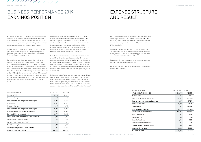

BUSINESS PERFORMANCE 2019 BUSINESS PERFORMANCE 2019 BUSINESS PERFORMANCE 2019

For the AIT Group, the 2019 financial year was again characterised by an increase in sales and revenue. Revenue increases both in the area of contract research and co-financed research, personnel growth and a positive earnings development characterized the year under review.

The contributions of the shareholders, the third major source of funding for the research work of the AIT Group, in 2018 had still included a sum of 1.9 million EUR for the federal initiative to create a research centre for electronically based systems (Silicon Austria). The shares in the Si.A. Errichtungs-GmbH founded for this purpose were sold at the end of 2018. Adjusted for the sum of the federal funds used for Si.A. Errichtungs-GmbH, 2019 shows a slight increase in the use of federal funds in the AIT Group. Compared with the previous year, this results in an increase of 1.3 million EUR  $[+2.6%]$ 

Contract research grew by 2.0 million EUR (+3.7%) in the year under review compared with the previous year; the growth tangent of the co-financed revenues showed an increase of 1.4 million EUR (+4%).

Other operating income / other revenues of 13.9 million EUR include the income from the reversal of provisions in the amount of approx. 1.5 million EUR, revenue from the reversal of value adjustments of 0.4 million EUR, the reversal of investment grants in the amount of 8.9 million EUR, proceeds from recharged rents and operating costs of 1.1 million EUR as well as other operating income / other revenues in the amount of approx. 2 million EUR.

In contrast to the presentation of the P&L structure of the annual financial statement, the presentation for the management report was maintained unchanged in order to present the proceeds from research contracts without confusion with the proceeds from expenses charged in the amount of 5.4 million EUR (previous year: 3 million EUR) and the other revenues in the amount of 1.7 million EUR (previous year: 2 million EUR).

In the presentation for the management report, an additional 4 million EUR (previous year: EUR 3.5 million) was reclassified to the line Nuclear BMK – formerly bmvit – as well as EUR 4.9 million (previous year: 3 million EUR) being reclassified to the line Nuclear BMK – previously BMNT – in order to achieve a better presentation of the overall "nuclear financing".

| Designation in kEUR                                  | ACTUAL 2019 | ACTUAL 2018 |
|------------------------------------------------------|-------------|-------------|
| Revenues R&D                                         | 53,260      | 52,069      |
| Inventory changes                                    | 825         | 67          |
| Revenues R&D including inventory changes             | 54,085      | 52,136      |
| Funding R&D                                          | 34,832      | 33,013      |
| Inventory changes                                    | 1,495       | 1,923       |
| Revenues R&D including inventory changes             | 36,327      | 34,937      |
| <b>Total Revenues from Research Contracts</b>        | 90,411      | 87,073      |
| Services BMK - previously bmvit                      | 49,779      | 50,373      |
| <b>Total Payments of the Shareholders (Research)</b> | 49,779      | 50,373      |
| Nuclear BMK - previously bmvit                       | 3,966       | 3,475       |
| Nuclear BMK - previously BMNT                        | 4.942       | 3,059       |
| <b>Total Financing Nuclear</b>                       | 8,907       | 6,533       |
| Other operating income / Other revenue               | 13,877      | 14,774      |
| TOTAL OPERATING INCOME                               | 162,975     | 158,753     |

Designation in kEUR ACTUAL 2019 ACTUAL 2018

| DESIGNATION IN KLON                   | AUUHLLUU   | AUTUAL ZUTO |
|---------------------------------------|------------|-------------|
| TOTAL OPERATING INCOME                | 162,975    | 158,753     |
| Material costs                        | $-8,294$   | - 7,666     |
| Services rendered by third parties    | $-10,043$  | $-10,225$   |
| Material costs and purchased services | $-18,337$  | $-17,890$   |
| Personnel expenses                    | $-96,840$  | $-93,206$   |
| <b>Amortizations</b>                  | $-11,032$  | $-11,451$   |
| Other operating expenses              | $-32,749$  | $-32,498$   |
| <b>TOTAL OPERATING EXPENSES</b>       | $-158,958$ | - 155,045   |
| <b>OPERATING PROFIT</b>               | 4,017      | 3,709       |
| <b>Financial profit</b>               | 313        | - 86        |
| <b>Result before taxes</b>            | 4,331      | 3,623       |
| Taxes on income and earnings          | $-281$     | - 393       |
| ANNUAL RESULT/PERIOD RESULT           | 4,050      | 3,229       |
| <b>Result carried forward</b>         | 26,863     | 23,633      |
| <b>NET PROFIT/LOSS</b>                | 30,912     | 26,862      |

The company's expense structure for the reporting year 2019 shows slight increases of 0.4 million EUR compared to the previous year for project-related material costs and related services (reporting year: 18.3 million EUR, previous year: 17.9 million EUR).

As a result of higher staff numbers as well as of the collective agreement related salary indexing, personnel expenses rose by approx. 3.6 million EUR (reporting year: 96.8 million EUR, previous year: 93.2 million EUR).

Compared with the previous year, other operating expenses showed a nearly constant development.

The annual result is 4 million EUR and shows a stable development of the AIT Group.

### EXPENSE STRUCTURE AND RESULT

### BUSINESS PERFORMANCE 2019 EARNINGS POSITION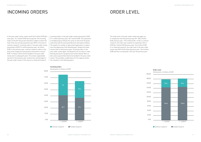In the year under review, orders worth 64.5 million EUR (previous year: 74.7 million EUR) were acquired. The incoming orders of the AIT Group were therefore unable to match the level of the very strong acquisition year 2018. In the area of contract research, incoming orders in the year under review amounted to EUR 27.4 million (previous year: 34 million EUR). In the previous year, contract research orders in the area of fast image processing alone amounted to around EUR 7.5 million, which will be handled in the year under review and in subsequent years. This nearly unparalleled top level of the previous year could not be reached again in the year under review. In the area of co-financed research,

The order level in the year under review was again up in comparison with the previous year (FY: 183.2 million EUR, previous year: 179.2 million EUR, +2.2%). In contract research, the order level could be increased by 5.2% to EUR 36.4 million EUR (previous year: 34.6 million EUR). In co-financed research, the order level in the year under review was EUR 146.8 million (previous year: 144.6 million EUR) and thus increased by 1,5% over the previous year.

#### Incoming orders

Order Level All amounts in millions of EUR



All amounts in millions of EUR



incoming orders in the year under review amounted to EUR 37.1 million (previous year: 40.7 million EUR). The acquisition of funded projects follows the cycles of calls from the grant authorities and the associated decision and award windows. The award of a number of open grant applications is expected at the beginning of the following year. Despite the lower volume than in the previous year, incoming orders in the year under review again contributed to the increase in order backlog and work in progress (see further below). More orders were acquired than had to be handled in the year under review. This provides a stable basis for the capacity utilisation situation in the following years.

### INCOMING ORDERS ORDER LEVEL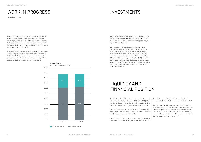Work in Progress does not only take account of the invoiced revenues (as in the case of the order level), but also the deferred project revenues due to the project work progress. In the year under review, the work in progress amounted to 88.5 million EUR and was thus 1.3% higher than the previous year's figure (87.5 million EUR).

In terms of project categories, the following picture emerges: Work in progress for contract research remained stable at 25.6 million EUR (previous year: 25.4 million EUR, +0.1%), the workload of co-financed research increased by 1.3% to 62.9 million EUR (previous year: 62.1 million EUR).

Total investments in intangible assets and property, plants and equipment in 2019 amounted to 10.8 million EUR and are 4.6 million EUR below the corresponding previous year's figure of 15.4 million EUR.

The investment in intangible assets (primarily rights) amounted to 0.3 million EUR (previous year: 0.2 million EUR). The acquisition of assets for land and buildings amounted to 0.2 million EUR (previous year: 3.1 million EUR). The investment in technical facilities amounted to 6.8 million EUR (previous year: 6.6 million EUR). 1.7 million EUR were spent for facility and office equipment (previous year: 2.6 million EUR) and 1.8 million EUR were received for advance payments and plants under construction (previous year: 2.7 million EUR).

As of 31 December 2019, cash and cash equivalents amounted to 71 million EUR (previous year: 85.2 million EUR). The liquidity level as of 31 December 2019 also includes funds for investment projects already ordered but not yet delivered. As of 31 December 2019, liabilities to credit institutions amounted to 0 million EUR (previous year: 1.2 million EUR. As of 31 December 2019, equity amounted to 46.6 million

Cash and cash equivalents are offset by liabilities from fiduciary project coordination funds in the amount of 15.2 million EUR (previous year: 26.7 million EUR).

As of 31 December 2019, there were securities deposits with a book value of 13.4 million EUR (previous year: 13.3 million EUR).

#### Work in Progress

### INVESTMENTS

### LIQUIDITY AND FINANCIAL POSITION

### WORK IN PROGRESS

(unfinished projects)

All amounts in millions of EUR



EUR (previous year: 42.5 million EUR). After considering the investment grants in the amount of 74.4 million EUR (previous year: 74.2 million EUR), the sum of expanded capital resources for the reporting year 2019 amounts to 121 million EUR (previous year: 116.7 million EUR).

100.00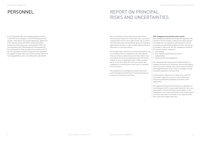As of 31 December 2019, the company employed a total of 1,136.3 FTEs or an average of 1,124.3 FTEs during the financial year. These figures also include apprentices, apprentices in the retention period, and HF/EU scholarship holders. Compared to the previous year reporting date (1,099.1 fulltime equivalents and 1,096 average full-time equivalents), this corresponds to a total increase of the workforce of 37.2 full-time equivalents and 28.3 average full-time equivalents. The highest increases stem from the AIT Austrian Institute of Technology GmbH as well as the Seibersdorf Labor GmbH.

AIT is committed to the fact that every entrepreneurial activity involves taking risks. At the same time, a successful company knows how to use its opportunities. AIT is committed to providing resources and design options for managing opportunities and risks in order to exploit opportunities and take risks in a conscious manner.

For example, many risks have a recurring characteristic and occur whether they are recognized or not, while opportunities can often be seized only once and only within certain time frames that must be recognized as such. AIT has the freedom to seize an opportunity when it makes strategic sense. On the other hand, AIT is not free to avoid risks completely or to resolve them in every case in a contradiction-free manner.

The implemented risk management system, which was further developed and optimized in the past financial year, is used for recording and controlling.

#### Risk management and internal control system

Risk management identifies and categorises significant risks inherent in the AIT activities. It defines how these risks are to be dealt with. For example, by defining which risks are consciously accepted and managed and which risks should be avoided or outsourced. The risk management system at AIT consists of three components:

- 1. Risk strategy
- 2. Risk-related responsibilities, processes and guidelines
- 3. Monitoring the risk management

AIT understands the Internal Control System (ICS) to encompass the totality of all the policies, process descriptions, work instructions, methods, and control measures ordered by management which serve to ensure the proper running of business operations at process level.

Internal control measures are a means to an end for AIT to achieve its objectives, and not an end in themselves. Controls are effected by employees at all levels of the organisation.

AIT regards the Internal Control System as a subsystem of risk management with strong mutual interactions. As a rule, optimizations in the ICS will have a positive effect on risk management since every improvement of the control system at process level tends to contribute to the reduction of the effort required for dealing with risks.

## PERSONNEL REPORT ON PRINCIPAL RISKS AND UNCERTAINTIES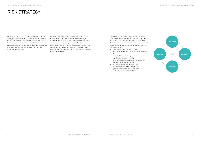The basis for the AIT risk management system is the risk strategy. It is established by the management and defines the risk categories and risk topics to be considered along the most important business areas or the most important value-adding resources. It evaluates these and defines how to deal with these risks (avoid risks, outsource risks, accept and manage risks).

Once the basic risk strategy has been determined on the basis of the strategic risk catalogue, the risk management system subsequently ensures that (further) risks are identified, assessed, managed and reported. The aim of risk management is to optimise the company's success and value in line with the defined AIT corporate strategy. Risk management thus takes place as a continuous process in all parts of the company.

To ensure that the basic steps of the risk management system can function properly, AIT has made appropriate specifications on processes, functions and guidelines. AIT defines its risk management as a fixed component of corporate management. Risk management is taken into consideration in the

- Development of the corporate strategy (market considerations, business case developments etc.)
- Considerations of the design of the organizational structure (e.g. by defining roles, responsibilities or even by defining organizational units themselves)
- Process development (e.g. as part of the offer, procurement or recruiting process)
- Specifications for shaping the corporate culture (such as Incentive Models, MBO etc.)



### RISK STRATEGY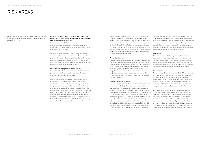The following is a description of the key corporate risk areas that may have a negative effect on the assets, financial and profit position of AIT.

#### Financial risk, information on financial instruments according to § 243 UGB [Austrian Commercial Code] Para 3(5) UGB [Austrian Commercial Code]

The company currently does not use any derivative financial instruments. Due to the nature of its business operations, the use of derivative financial instruments is not planned in the future either.

The value of the receivables is continuously assessed and monitored by the receivables management. A review of compliance with payment deadlines, limiting of credit limits and obtaining creditworthiness assessments from our clients limit the impact of potential payment defaults on the company's assets, financial and profit position.

#### Risk of the strategic portfolio and market risk

AIT works on the (further) development of technologies or processes whose future usability (e.g. via exploitation in contract research) must first be proven.

The resulting development risk is covered by the use of federal funds. The AIT research portfolio is thus made up of elements with varying degrees of maturity. At the same time, it represents a risk mix that makes it possible, on the one hand, to take up and finance new issues while simultaneously generating a stable income situation on the other. In exploiting the results, AIT addresses European and international markets. Both the acquisition of clients and projects in the field of contract research as well as the acquisition of third-party funding in the national and international subsidy markets take place in a competitive environment.

Against this background, a risk in terms of attainability of projected figures, the development of client groups and partner networks as well as the implementation of business models is an intrinsic part of business. The service portfolio of the AIT Group is diversified and addresses various sectors in different markets. The continuous monitoring of the order situation as well as an early recognition of trends in the relevant markets with measures that are quickly derived from these remain important tasks for AIT.

#### Project funding risk

A public project funding scheme deviating from the full reimbursement principle as well as changing interpretations of funding guidelines may lead to a deterioration of the funding rate. Changes in the terms of funding project accounting require a system adjustment of the cost accounting and project accounting system. In order to maintain a sound project assessment base, it is necessary to monitor the relevant environment and assess it with regard to possible commercial effects.

#### Information technology risks

The company has a central IT system environment, enabling the joint use of high-quality system components at the various locations. This includes, among other things, a modern security environment with a firewall, virus scanning and remote access points with multiple protection for the detection of and defence against attacks. The data is centrally stored, automatically backed up at regular intervals, and copies are kept off-premises. All our projects are based on the generally accepted standards of the Baseline Protection Manual of the Federal Office for Information Security (BSI) and ISO standard 27001 and are supplemented by empirical values reflecting the current state of technology. AIT intensively

deals with the protection of the IT infrastructure from unauthorized access or from attacks, both from within and from outside. In addition to technical and organizational measures in IT security, the company also implements targeted measures in the area of awareness training for all employees on topics pertaining to IT and information security (e.g. also when handling personal or other sensitive data).

### Legal risks

AIT counters legal risks through constant communication between the central legal department and the local attorneys, as well as through the implemented reporting system which encompasses ongoing procedures and potential risks. Possible risks were taken into account by means of balance sheet risk provisions in the annual financial statement.

#### Economic risks

The current developments regarding Covid-19 (coronavirus) are continuously monitored and corresponding measures are taken depending on them. In particular, business events (with a larger number of people) are currently being refrained from, business trips are being reduced, travel warnings are being taken into consideration accordingly and many company areas are being converted to teleworking.

We follow the recommendations of the Austrian Federal Government both in the interests of the health of our own employees and of society. All the activities we embark on are geared to ensuring that our business operations are conducted in the best possible way in the interests of our customers and partners. Currently, the concrete effects on the course of business are still limited, although we expect projects to be postponed due to the general restrictions in public life, both in terms of order intake and order processing.

### RISK AREAS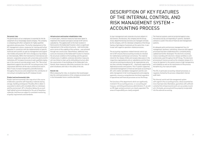A clear management and corporate structure obtains in the Centers, the divisions, the company and the Group. Cross-departmental key functions are managed centrally by the company, with the individual companies of the Group having a high degree of autonomy at the same time, in particular with regard to operation-related processes.

The accounting regulations-related internal control system of AIT ensures that accounting records are checked for mathematical and factual correctness. The material check for the release of bills and receipts takes place in the respective organizational units or subsidiaries and the financial and accounting procedures for all organizational units are then centrally managed at AIT – intensively supported by digitized processes and systems. This IT system-supported, centralized management of financial and asset accounting at AIT, with creditor and debtor management and the complete management of all incoming payments and outgoing payments, ensures a comprehensive functional separation of operational and financial processes across the Group.

The functions of the departments which are significantly involved in the accounting process, i.e. accounting and treasury, controlling and business administration, IT, as well as HR, legal, and procurement, are clearly separated. The areas of responsibility are clearly assigned.

The financial systems used are protected against unauthorized access by corresponding IT systems. Standard software is used in the area of financial and management systems.

An adequate policy and process management (e.g. for management, business, controlling, resources and support processes) has been established and is constantly being updated and further developed. The electronic incoming invoice recording with electronic release workflow is comprehensively used throughout the AIT Group. The electronic processing of invoices as well as the complete release of invoices for payment in the system ensure a high transparency and reliability as well as the maintenance of the process discipline (e.g. four eyes principle).

The ICS, in particular accounting-relevant processes, is regularly checked by the process-independent internal audit team.

The internal control and risk management system with regard to the accounting process, whose essential features have been described above, guarantees with sufficient certainty that entrepreneurial events are accurately recorded in the books, processed and thus properly incorporated into the external accounting.

### Personnel risks

The performance of our employees is essential for the development of our knowledge-based company. The company is competing with other companies for highly qualified specialists and executives. The further development of the AIT management culture, measures for training and further education in connection with the implementation of specific technical and scientific as well as management and support role models will position AIT more strongly as a top employer internationally. Within the framework of international and domestic cooperation projects with universities and scientific institutions, AIT increases its access to well-qualified employees in the course of concrete project work. The "Recruiting" department supports the entire AIT recruiting process, from requirement definition all the way to professional search. New IT tools increase transparency and effectiveness throughout the process and complement the contribution of recruiting to strengthening the AIT employer brand.

#### Product and environmental risks

Product and environmental risks may arise in the course of laboratory operation with hazardous materials during storage, handling and disposal. Possible effects obtain in associated incidents with immediate effect on individuals and the environment. AIT is therefore taking into account high (safety) technical standards for the use of hazardous materials, and these are subject to consistent monitoring of quality requirements and standards.

#### Infrastructure and location rehabilitation risks

In recent years, intensive measures have been taken to implement the location and space concept of AIT and its subsidiaries. This applies both to the main location in Vienna and to the Seibersdorf location, where a significant improvement in the surface structures – both technically and in terms of the usability of the surfaces – was achieved through new construction. Nevertheless, additional measures are necessary at the Seibersdorf location to improve the structural condition of the buildings and the general infrastructure. In addition, extensive demolition measures will now follow to clean up the old building structure after the construction of new buildings at the Seibersdorf site. Overall, these measures effectively counteract the risks of plant shutdowns and risks in the safety of the site.

#### Overall risk

When analyzing the risks, no situations that would jeopardize the continued existence of the company at present and in the foreseeable future could be identified.

### DESCRIPTION OF KEY FEATURES OF THE INTERNAL CONTROL AND RISK MANAGEMENT SYSTEM – ACCOUNTING PROCESS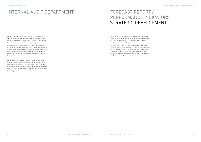# INTERNAL AUDIT DEPARTMENT FORECAST REPORT /

The Internal Audit Department, which is directly responsible to the management of the company, supervises the operational and business processes as well as the Internal Control and Risk Management System. In particular, the functionality and effectiveness of the Internal Control System and the Risk Management System, the compliance with applicable legal and operational policies, the regularity of all operational processes as well as measures for the protection of company assets are to be examined and assessed in this context.

The audits are carried out according to the annual audit plan approved by AIT management and supplemented by short and special audits. The audit reports make recommendations and propose measures which are subject to an ongoing follow-up following the implementation instruction by management.

The financing agreement with the BMK (Federal Ministry of Transport, Innovation and Technology, formerly bmvit) forms the basis for the strategic development of the AIT Group. For the reporting year 2019, financing was continued on the basis of the agreement for the years 2019–2021. The financing agreement contains both financial and non-financial target indicators for the company which are regularly reported on and tracked as part of the work of the Monitoring Committee of the Supervisory Board. A selection of non-financial indicators is presented below.



# PERFORMANCE INDICATORS STRATEGIC DEVELOPMENT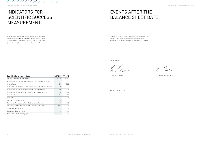No events of special significance have occurred after the balance sheet date that would have led to a different presentation of the asset, financial and earnings position.

Management:

Vimon

.<br>Vienna, 13 March 2020

| <b>Scientific &amp; Performance Indicators</b>                        | AIT 2019 | AIT 2018 |
|-----------------------------------------------------------------------|----------|----------|
| Patents granted (patent families)                                     | 29 (28)  | 45 (36)  |
| Publications in scientific peer review journals with impact factor    | 211      | 213      |
| Impact Factor                                                         | 698.5    | 770.2    |
| Publications in scientific peer review journals without impact factor | 69       | 67       |
| Publications as part of conferences (with review process)             | 330      | 335      |
| Publications as part of conferences (without review process)          | 126      | 134      |
| Invited Lectures                                                      | 351      | 293      |
| Lectures                                                              | 162      | 139      |
| Number of PhD students                                                | 203      | 213      |
| Number of PhD students from the international arena                   | 88       | 93       |
| Proportion of PhD students from the international arena (%)           | 43%      | 44%      |
| Completed dissertations                                               | 33       | 28       |
| Completed diploma theses                                              | 70       | 64       |
| Number of habilitated employees                                       | 31       | 28       |

a, Car

DI Anton PLIMON e.h. Prof.Dr. Wolfgang KNOLL e.h. DI Anton PLIMON e. h. Prof. Dr. Wolfgang KNOLL e. h.

The following table shows a selection of indicators for the scientific success measurement of the AIT Group. These indicators have been developed in the context of the BMK (formerly bmvit) financing framework agreement.

FORECAST REPORT / PERFORMANCE INDICATORS

### INDICATORS FOR SCIENTIFIC SUCCESS MEASUREMENT

### EVENTS AFTER THE BALANCE SHEET DATE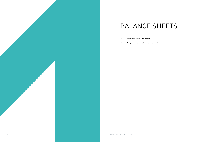

# BALANCE SHEETS

- Group consolidated balance sheet
- Group consolidated profit and loss statement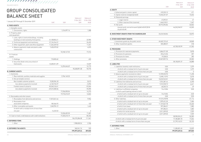|                                                                   | <b>EUR</b>             | Status as of<br>31 Dec. 2019    | Status as of<br>31 Dec. 2018 |
|-------------------------------------------------------------------|------------------------|---------------------------------|------------------------------|
| A. EQUITY                                                         |                        | <b>EUR</b>                      | <b>kEUR</b>                  |
| I. Called and paid-in share capital                               | 470,920.12             |                                 | 471                          |
| II. Capital reserves (unappropriated)                             | 13,656,321.07          |                                 | 13,656                       |
| III. Retained earnings                                            |                        |                                 |                              |
| 1. Legal reserve                                                  | 47,092.01              |                                 | 47                           |
| 2. Other reserves (free reserves)                                 | 1,466,518.51           |                                 | 1,467                        |
| IV. Net profit                                                    | 30,912,096.86          |                                 | 26,863                       |
| thereof profit carried forward 26,863 kEUR (2018:<br>23,633 kEUR) |                        | 46,552,948.57                   | 42,503                       |
| <b>B. INVESTMENT GRANTS FROM THE SHAREHOLDER</b>                  | 33,676,960.84          |                                 | 32,875                       |
|                                                                   |                        |                                 |                              |
| <b>C. OTHER INVESTMENT GRANTS</b>                                 |                        |                                 |                              |
| I. Investment grants by the public sector                         | 40,402,722.42          |                                 | 40,848                       |
| II. Other investment grants                                       | 335,380.57             |                                 | 518                          |
|                                                                   |                        | 40,738,102.99                   | 41,365                       |
| <b>D. PROVISIONS</b>                                              |                        |                                 |                              |
| 1. Provisions for severance payments                              | 5,866,571.00           |                                 | 5,818                        |
| 2. Provisions for pensions                                        | 224,614.06             |                                 | 207                          |
| 3. Provisions for taxes                                           | 19,538.55              |                                 | 282                          |
| 4. Other provisions                                               | 22,047,857.76          |                                 | 20,582                       |
| E. LIABILITIES                                                    |                        | 28,158,581.37                   | 26,888                       |
| 1. Liabilities towards credit institutions                        | 0.00                   |                                 | 1,279                        |
| of which with a residual term of up to one year                   | 0.00                   |                                 | 1,279                        |
| of which with a residual term of more than one year               | 0.00                   |                                 | $\Omega$                     |
| 2. Advance payments received on orders                            | 12,709,052.93          |                                 | 11,498                       |
| of which with a residual term of up to one year                   | 2,698,110.92           |                                 | 2,018                        |
| of which with a residual term of more than one year               | 10,010,942.01          |                                 | 9,480                        |
| 3. Liabilities from deliveries and services                       | 7,074,281.44           |                                 | 6,490                        |
| of which with a residual term of up to one year                   | 7,013,928.72           |                                 | 6,441                        |
| of which with a residual term of more than one year               |                        |                                 | 49                           |
| 4. Liabilities to affiliated companies                            | 60,352.72<br>74,410.86 |                                 | 0.00                         |
| in which a participating interest is held                         |                        |                                 |                              |
| of which with a residual term of up to one year                   | 74,410.86              |                                 | 0.00                         |
| of which with a residual term of more than one year               | 0.00                   |                                 | 0.00                         |
| 5. Other liabilities                                              | 19, 127, 278.98        |                                 | 31,116                       |
| of which with a residual term of up to one year                   | 7,399,431.20           |                                 | 7,486                        |
| of which with a residual term of more than one year               | 11,727,847.78          |                                 | 23,630                       |
| of which from taxes                                               | 597,384.51             |                                 | 1,082                        |
| of which with a residual term of up to one year                   | 597,384.51             |                                 | 1,082                        |
| of which for social security                                      | 2,011,209.03           |                                 | 1,929                        |
| of which with a residual term of up to one year                   | 2,011,209.03           |                                 | 1,929                        |
|                                                                   |                        | 38,985,024.21                   | 50,383                       |
| of which with a residual term of up to one year                   |                        | 17,185,881.70                   | 17,224                       |
| of which with a residual term of more than one year               |                        | 21,799,142.51                   | 33,159                       |
|                                                                   |                        |                                 |                              |
| <b>F. DEFERRED ITEMS</b>                                          |                        |                                 |                              |
| 1. Other                                                          |                        | 11,285,831.45<br>199,397,449.44 | 13,029<br>207,045            |
|                                                                   |                        |                                 |                              |

|                                                                                                        | <b>EUR</b>      | Status as of<br>31 Dec. 2019<br><b>EUR</b> | Status as of<br>31 Dec. 2018<br><b>kEUR</b> |
|--------------------------------------------------------------------------------------------------------|-----------------|--------------------------------------------|---------------------------------------------|
| <b>EQUITY</b>                                                                                          |                 |                                            |                                             |
| I. Called and paid-in share capital                                                                    | 470,920.12      |                                            | 471                                         |
| II. Capital reserves (unappropriated)                                                                  | 13,656,321.07   |                                            | 13,656                                      |
| III. Retained earnings                                                                                 |                 |                                            |                                             |
| 1. Legal reserve                                                                                       | 47,092.01       |                                            | 47                                          |
| 2. Other reserves (free reserves)                                                                      | 1,466,518.51    |                                            | 1,467                                       |
| IV. Net profit                                                                                         | 30,912,096.86   |                                            | 26,863                                      |
| thereof profit carried forward 26,863 kEUR (2018:<br>23,633 kEUR)                                      |                 | 46,552,948.57                              | 42,503                                      |
| INVESTMENT GRANTS FROM THE SHAREHOLDER                                                                 | 33,676,960.84   |                                            | 32,875                                      |
| <b>OTHER INVESTMENT GRANTS</b>                                                                         |                 |                                            |                                             |
| I. Investment grants by the public sector                                                              | 40,402,722.42   |                                            | 40,848                                      |
| II. Other investment grants                                                                            | 335,380.57      |                                            | 518                                         |
|                                                                                                        |                 | 40,738,102.99                              | 41,365                                      |
| <b>PROVISIONS</b>                                                                                      |                 |                                            |                                             |
| 1. Provisions for severance payments                                                                   | 5,866,571.00    |                                            | 5,818                                       |
| 2. Provisions for pensions                                                                             | 224,614.06      |                                            | 207                                         |
| 3. Provisions for taxes                                                                                | 19,538.55       |                                            | 282                                         |
| 4. Other provisions                                                                                    | 22,047,857.76   |                                            | 20,582                                      |
|                                                                                                        |                 | 28,158,581.37                              | 26,888                                      |
| . LIABILITIES<br>1. Liabilities towards credit institutions                                            | 0.00            |                                            |                                             |
|                                                                                                        | 0.00            |                                            | 1,279<br>1,279                              |
| of which with a residual term of up to one year<br>of which with a residual term of more than one year | 0.00            |                                            | $\bigcap$                                   |
| 2. Advance payments received on orders                                                                 | 12,709,052.93   |                                            | 11,498                                      |
| of which with a residual term of up to one year                                                        | 2,698,110.92    |                                            | 2,018                                       |
| of which with a residual term of more than one year                                                    | 10,010,942.01   |                                            | 9,480                                       |
| 3. Liabilities from deliveries and services                                                            | 7,074,281.44    |                                            | 6,490                                       |
| of which with a residual term of up to one year                                                        | 7,013,928.72    |                                            | 6,441                                       |
| of which with a residual term of more than one year                                                    | 60,352.72       |                                            | 49                                          |
| 4. Liabilities to affiliated companies                                                                 | 74,410.86       |                                            | 0.00                                        |
| in which a participating interest is held                                                              |                 |                                            |                                             |
| of which with a residual term of up to one year                                                        | 74,410.86       |                                            | 0.00                                        |
| of which with a residual term of more than one year                                                    | 0.00            |                                            | 0.00                                        |
| 5. Other liabilities                                                                                   | 19, 127, 278.98 |                                            | 31,116                                      |
| of which with a residual term of up to one year                                                        | 7,399,431.20    |                                            | 7,486                                       |
| of which with a residual term of more than one year                                                    | 11,727,847.78   |                                            | 23,630                                      |
| of which from taxes                                                                                    | 597,384.51      |                                            | 1,082                                       |
| of which with a residual term of up to one year                                                        | 597,384.51      |                                            | 1,082                                       |
| of which for social security                                                                           | 2,011,209.03    |                                            | 1,929                                       |
| of which with a residual term of up to one year                                                        | 2,011,209.03    |                                            | 1,929                                       |
|                                                                                                        |                 | 38,985,024.21                              | 50,383                                      |
| of which with a residual term of up to one year                                                        |                 | 17,185,881.70                              | 17,224                                      |
| of which with a residual term of more than one year                                                    |                 | 21,799,142.51                              | 33,159                                      |
| <b>DEFERRED ITEMS</b>                                                                                  |                 |                                            |                                             |
| 1. Other                                                                                               |                 | 11,285,831.45                              | 13,029                                      |
|                                                                                                        |                 | 100 207 / 10 / 1                           | 207.045                                     |

|                                                             |                   |               | Status as of               | Status as of                |
|-------------------------------------------------------------|-------------------|---------------|----------------------------|-----------------------------|
| 1 January 2019 through 31 December 2019                     | <b>EUR</b>        | <b>EUR</b>    | 31 Dec. 2019<br><b>EUR</b> | 31 Dec. 2018<br><b>kEUR</b> |
| A. FIXED ASSETS                                             |                   |               |                            |                             |
| I. Intangible assets                                        |                   |               |                            |                             |
| 1. Concessions, rights                                      |                   | 1,316,097.16  |                            | 1,388                       |
| II. Property, plant                                         |                   |               |                            |                             |
| and equipment                                               |                   |               |                            |                             |
| 1. Land, rights to land and buildings, including            |                   |               |                            |                             |
| buildings on land owned by third parties                    | 31,108,854.41     |               |                            | 32,985                      |
| 2. Technical equipment and machinery                        | 27, 154, 944. 57  |               |                            | 26,405                      |
| 3. Other equipment, plant and office equipment              | 11,264,269.53     |               |                            | 11,451                      |
| 4. Advance payments made and plants under<br>construction   | 7,420,079.02      |               |                            | 6,373                       |
|                                                             |                   | 76,948,147.53 |                            | 77,214                      |
| III. Financial                                              |                   |               |                            |                             |
| assets                                                      |                   |               |                            |                             |
| 1. Holdings                                                 | 710,835.60        |               |                            | 633                         |
| 2. Securities (book-entry securities) of                    |                   |               |                            |                             |
| fixed assets                                                | 13,683,811.09     |               |                            | 13,539                      |
|                                                             |                   | 14,394,646.69 |                            | 14,172                      |
|                                                             |                   |               | 92,658,891.38              | 92,775                      |
| <b>B. CURRENT ASSETS</b>                                    |                   |               |                            |                             |
| I. Inventories                                              |                   |               |                            |                             |
| 1. Raw materials, auxiliary materials and supplies          |                   | 2,704,160.33  |                            | 572                         |
| 2. Not yet billable services                                |                   |               |                            |                             |
| Non-funded customer projects                                | 9,230,904.18      |               |                            | 8,413                       |
| less advance payments received                              | $-6, 160, 734.37$ |               |                            | $-5,596$                    |
| Funded research projects                                    | 83,348,163.61     |               |                            | 81,846                      |
| less advance payments received                              | $-69,212,283.36$  |               |                            | $-70,390$                   |
|                                                             |                   | 17,206,050.06 |                            | 14,273                      |
|                                                             |                   | 19,910,210.39 |                            | 14,845                      |
| II. Receivables and other assets                            |                   |               |                            |                             |
| 1. Receivables from deliveries and services                 | 11,813,041.46     |               |                            | 9,904                       |
| 2. Receivables from<br>associated companies                 | 182,566.92        |               |                            | 132                         |
| 3. Other receivables and assets                             | 1,340,994.12      |               |                            | 1,445                       |
| of which with a residual term of more than<br>one year      | 14,222.52         |               |                            | 2                           |
|                                                             |                   | 13,336,602.50 |                            | 11,481                      |
| III. Cash on hand, credit balances with credit institutions |                   | 71,023,473.19 |                            | 85,234                      |
|                                                             |                   |               | 104,270,286.08             | 111,561                     |
| <b>C. DEFERRED ITEMS</b>                                    |                   |               |                            |                             |
| 1. Other                                                    |                   |               | 1,908,030.24               | 2,186                       |
| D. DEFERRED TAX ASSETS                                      |                   |               | 560,241.74                 | 523                         |
|                                                             |                   |               | 199,397,449.44             | 207,045                     |

### 

BALANCE SHEETS

### GROUP CONSOLIDATED BALANCE SHEET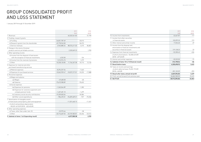|                                                   | 2019          | 2018        |
|---------------------------------------------------|---------------|-------------|
|                                                   | <b>FUR</b>    | <b>kEUR</b> |
| 10. Income from investments                       | 62,667.87     | 117         |
| 11. Income from other securities                  |               |             |
| in financial assets                               | 102,099.33    | 213         |
| 12. Other interest and similar income             | 17,026.60     | 69          |
| 13. Income from the disposal and                  |               |             |
| amortization of financial investments and         |               |             |
| securities in financial assets                    | 219,128.22    | 23          |
| 14. Expenses from financial investments           | $-52,200.43$  | -436        |
| of which amortizations -52,200.42 EUR             |               |             |
| (2018 - 429 kEUR)                                 |               |             |
| 15. Interest and similar expenses                 | $-35,523.05$  | $-72$       |
| 16. Subtotal of items 10 to 15 (financial result) | 313,198.54    | $-86$       |
| 17. Result before taxes                           | 4,330,698.92  | 3,622       |
| 18. Taxes on income and earnings                  |               |             |
| of which deferred taxes 70,452.19 EUR             |               |             |
| $[2018:4 \text{ kEUR}]$                           | $-281,102.09$ | $-393$      |
| 19. Result after taxes; annual net profit         | 4,049,596.83  | 3,229       |
| 20. Profit carried forward from previous year     | 26,862,500.03 | 23,633      |
| 21. Net Profit                                    | 30,912,096.86 | 26,863      |
|                                                   |               |             |

|                                                                          |                  | 2019                        |           | 2018                  |
|--------------------------------------------------------------------------|------------------|-----------------------------|-----------|-----------------------|
| 1. Revenues                                                              |                  | <b>FUR</b><br>60,332,541.82 |           | <b>kEUR</b><br>57,790 |
| 2. Funding, research grants                                              |                  |                             |           |                       |
| a) Funding                                                               | 34,831,787.69    |                             | 33,013    |                       |
| b) Research grants from the shareholder                                  | 49,778,943.00    |                             | 50,373    |                       |
| c) Service revenues                                                      | 3,965,880.34     | 88,576,611.03               | 3,475     | 86,861                |
| 3. Change in the stock of finished                                       |                  |                             |           |                       |
| products and not yet billable services                                   |                  | 2,320,069.23                |           | 1,990                 |
| 4. Other operating income                                                |                  |                             |           |                       |
| a) Income from the disposal of fixed assets                              |                  |                             |           |                       |
| with the exception of financial investments                              | 4,252.00         |                             | 134       |                       |
| b) Income from the reversal of provisions                                | 1,513,974.73     |                             | 1,279     |                       |
| cl Other                                                                 | 10,228,120.85    | 11,746,347.58               | 10,713    | 12,126                |
| 5. Expenses for material and other                                       |                  |                             |           |                       |
| purchased manufacturing services                                         |                  |                             |           |                       |
| a) Material expenses                                                     | $-8,294,257.54$  |                             | $-7,663$  |                       |
| b) Expenses for purchased services                                       | $-10,042,959.47$ | $-18,337,217.01$            | $-10,225$ | $-17,888$             |
| 6. Personnel expenses                                                    |                  |                             |           |                       |
| a) Wages and salaries                                                    |                  |                             |           |                       |
| aa) Wages                                                                | $-49,608.38$     |                             | $-60$     |                       |
| ab) Salaries                                                             | $-73,673,980.89$ |                             | $-70,652$ |                       |
| b) Social expenses                                                       |                  |                             |           |                       |
| ba) Expenses for pensions                                                | $-1,363,044.89$  |                             | $-1,283$  |                       |
| bb) Expenses for severance payments and                                  |                  |                             |           |                       |
| company pension funds                                                    | $-1,407,481.10$  |                             | $-1,699$  |                       |
| bc) statutory social security contributions                              | $-19,359,002.04$ |                             | $-18,584$ |                       |
| bd) Other social expenditures                                            | $-986,492.01$    | $-96,839,609.31$            | $-927$    | $-93,206$             |
| 7. Amortization of intangible assets                                     |                  |                             |           |                       |
| of fixed assets and property, plant and equipment                        |                  | $-11,031,660.15$            |           | $-11,451$             |
| of which extraordinary depreciation<br>-185,031.62 EUR (2018: -653 kEUR) |                  |                             |           |                       |
| 8. Other operating expenses                                              |                  |                             |           |                       |
| a) Taxes, other than under item 18                                       | $-32,975.46$     |                             | $-58$     |                       |
| c) Other                                                                 | $-32,716,607.35$ | $-32,749,582.81$            | $-32,456$ | $-32,514$             |
| 9. Subtotal of items 1 to 8 (operating result)                           |                  | 4,017,500.38                |           | 3,709                 |

### GROUP CONSOLIDATED PROFIT AND LOSS STATEMENT

1 January 2019 through 31 December 2019